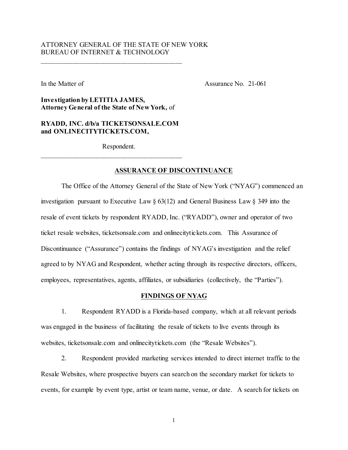# ATTORNEY GENERAL OF THE STATE OF NEW YORK BUREAU OF INTERNET & TECHNOLOGY

In the Matter of Assurance No. 21-061

**Investigation by LETITIA JAMES, Attorney General of the State of New York,** of

\_\_\_\_\_\_\_\_\_\_\_\_\_\_\_\_\_\_\_\_\_\_\_\_\_\_\_\_\_\_\_\_\_\_\_\_\_\_\_\_\_

**RYADD, INC. d/b/a TICKETSONSALE.COM and ONLINECITYTICKETS.COM,**

\_\_\_\_\_\_\_\_\_\_\_\_\_\_\_\_\_\_\_\_\_\_\_\_\_\_\_\_\_\_\_\_\_\_\_\_\_\_\_\_\_

Respondent.

## **ASSURANCE OF DISCONTINUANCE**

The Office of the Attorney General of the State of New York ("NYAG") commenced an investigation pursuant to Executive Law § 63(12) and General Business Law § 349 into the resale of event tickets by respondent RYADD, Inc. ("RYADD"), owner and operator of two ticket resale websites, ticketsonsale.com and onlinecitytickets.com. This Assurance of Discontinuance ("Assurance") contains the findings of NYAG's investigation and the relief agreed to by NYAG and Respondent, whether acting through its respective directors, officers, employees, representatives, agents, affiliates, or subsidiaries (collectively, the "Parties").

### **FINDINGS OF NYAG**

1. Respondent RYADD is a Florida-based company, which at all relevant periods was engaged in the business of facilitating the resale of tickets to live events through its websites, ticketsonsale.com and onlinecitytickets.com (the "Resale Websites").

2. Respondent provided marketing services intended to direct internet traffic to the Resale Websites, where prospective buyers can search on the secondary market for tickets to events, for example by event type, artist or team name, venue, or date. A search for tickets on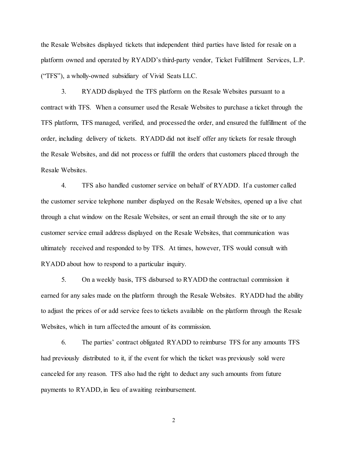the Resale Websites displayed tickets that independent third parties have listed for resale on a platform owned and operated by RYADD's third-party vendor, Ticket Fulfillment Services, L.P. ("TFS"), a wholly-owned subsidiary of Vivid Seats LLC.

3. RYADD displayed the TFS platform on the Resale Websites pursuant to a contract with TFS. When a consumer used the Resale Websites to purchase a ticket through the TFS platform, TFS managed, verified, and processed the order, and ensured the fulfillment of the order, including delivery of tickets. RYADD did not itself offer any tickets for resale through the Resale Websites, and did not process or fulfill the orders that customers placed through the Resale Websites.

4. TFS also handled customer service on behalf of RYADD. If a customer called the customer service telephone number displayed on the Resale Websites, opened up a live chat through a chat window on the Resale Websites, or sent an email through the site or to any customer service email address displayed on the Resale Websites, that communication was ultimately received and responded to by TFS. At times, however, TFS would consult with RYADD about how to respond to a particular inquiry.

5. On a weekly basis, TFS disbursed to RYADD the contractual commission it earned for any sales made on the platform through the Resale Websites. RYADD had the ability to adjust the prices of or add service fees to tickets available on the platform through the Resale Websites, which in turn affected the amount of its commission.

6. The parties' contract obligated RYADD to reimburse TFS for any amounts TFS had previously distributed to it, if the event for which the ticket was previously sold were canceled for any reason. TFS also had the right to deduct any such amounts from future payments to RYADD, in lieu of awaiting reimbursement.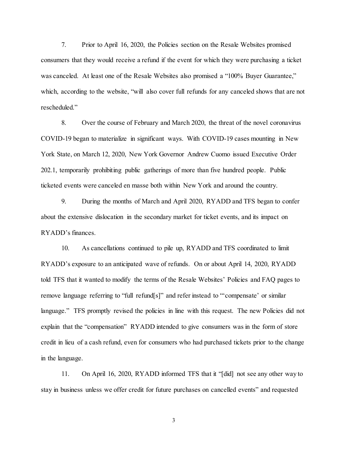7. Prior to April 16, 2020, the Policies section on the Resale Websites promised consumers that they would receive a refund if the event for which they were purchasing a ticket was canceled. At least one of the Resale Websites also promised a "100% Buyer Guarantee," which, according to the website, "will also cover full refunds for any canceled shows that are not rescheduled."

8. Over the course of February and March 2020, the threat of the novel coronavirus COVID-19 began to materialize in significant ways. With COVID-19 cases mounting in New York State, on March 12, 2020, New York Governor Andrew Cuomo issued Executive Order 202.1, temporarily prohibiting public gatherings of more than five hundred people. Public ticketed events were canceled en masse both within New York and around the country.

9. During the months of March and April 2020, RYADD and TFS began to confer about the extensive dislocation in the secondary market for ticket events, and its impact on RYADD's finances.

10. As cancellations continued to pile up, RYADD and TFS coordinated to limit RYADD's exposure to an anticipated wave of refunds. On or about April 14, 2020, RYADD told TFS that it wanted to modify the terms of the Resale Websites' Policies and FAQ pages to remove language referring to "full refund[s]" and refer instead to "'compensate' or similar language." TFS promptly revised the policies in line with this request. The new Policies did not explain that the "compensation" RYADD intended to give consumers was in the form of store credit in lieu of a cash refund, even for consumers who had purchased tickets prior to the change in the language.

11. On April 16, 2020, RYADD informed TFS that it "[did] not see any other way to stay in business unless we offer credit for future purchases on cancelled events" and requested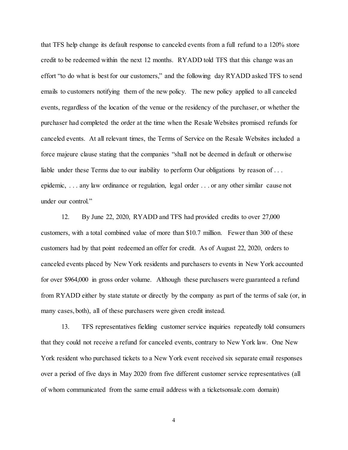that TFS help change its default response to canceled events from a full refund to a 120% store credit to be redeemed within the next 12 months. RYADD told TFS that this change was an effort "to do what is best for our customers," and the following day RYADD asked TFS to send emails to customers notifying them of the new policy. The new policy applied to all canceled events, regardless of the location of the venue or the residency of the purchaser, or whether the purchaser had completed the order at the time when the Resale Websites promised refunds for canceled events. At all relevant times, the Terms of Service on the Resale Websites included a force majeure clause stating that the companies "shall not be deemed in default or otherwise liable under these Terms due to our inability to perform Our obligations by reason of ... epidemic, . . . any law ordinance or regulation, legal order . . . or any other similar cause not under our control."

12. By June 22, 2020, RYADD and TFS had provided credits to over 27,000 customers, with a total combined value of more than \$10.7 million. Fewer than 300 of these customers had by that point redeemed an offer for credit. As of August 22, 2020, orders to canceled events placed by New York residents and purchasers to events in New York accounted for over \$964,000 in gross order volume. Although these purchasers were guaranteed a refund from RYADD either by state statute or directly by the company as part of the terms of sale (or, in many cases, both), all of these purchasers were given credit instead.

13. TFS representatives fielding customer service inquiries repeatedly told consumers that they could not receive a refund for canceled events, contrary to New York law. One New York resident who purchased tickets to a New York event received six separate email responses over a period of five days in May 2020 from five different customer service representatives (all of whom communicated from the same email address with a ticketsonsale.com domain)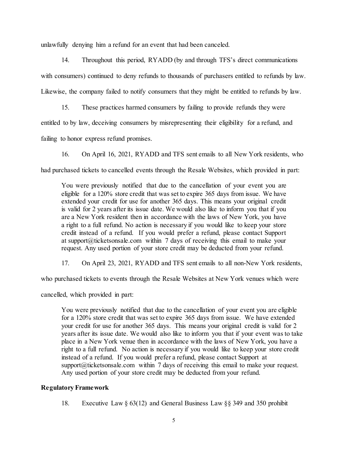unlawfully denying him a refund for an event that had been canceled.

14. Throughout this period, RYADD (by and through TFS's direct communications with consumers) continued to deny refunds to thousands of purchasers entitled to refunds by law. Likewise, the company failed to notify consumers that they might be entitled to refunds by law.

15. These practices harmed consumers by failing to provide refunds they were entitled to by law, deceiving consumers by misrepresenting their eligibility for a refund, and failing to honor express refund promises.

16. On April 16, 2021, RYADD and TFS sent emails to all New York residents, who had purchased tickets to cancelled events through the Resale Websites, which provided in part:

You were previously notified that due to the cancellation of your event you are eligible for a 120% store credit that was set to expire 365 days from issue. We have extended your credit for use for another 365 days. This means your original credit is valid for 2 years after its issue date. We would also like to inform you that if you are a New York resident then in accordance with the laws of New York, you have a right to a full refund. No action is necessary if you would like to keep your store credit instead of a refund. If you would prefer a refund, please contact Support at support@ticketsonsale.com within 7 days of receiving this email to make your request. Any used portion of your store credit may be deducted from your refund.

17. On April 23, 2021, RYADD and TFS sent emails to all non-New York residents,

who purchased tickets to events through the Resale Websites at New York venues which were

cancelled, which provided in part:

You were previously notified that due to the cancellation of your event you are eligible for a 120% store credit that was set to expire 365 days from issue. We have extended your credit for use for another 365 days. This means your original credit is valid for 2 years after its issue date. We would also like to inform you that if your event was to take place in a New York venue then in accordance with the laws of New York, you have a right to a full refund. No action is necessary if you would like to keep your store credit instead of a refund. If you would prefer a refund, please contact Support at support $@$ ticketsonsale.com within 7 days of receiving this email to make your request. Any used portion of your store credit may be deducted from your refund.

# **Regulatory Framework**

18. Executive Law § 63(12) and General Business Law §§ 349 and 350 prohibit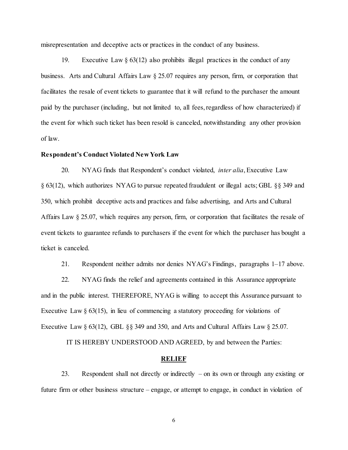misrepresentation and deceptive acts or practices in the conduct of any business.

19. Executive Law  $\S 63(12)$  also prohibits illegal practices in the conduct of any business. Arts and Cultural Affairs Law § 25.07 requires any person, firm, or corporation that facilitates the resale of event tickets to guarantee that it will refund to the purchaser the amount paid by the purchaser (including, but not limited to, all fees, regardless of how characterized) if the event for which such ticket has been resold is canceled, notwithstanding any other provision of law.

#### **Respondent's Conduct Violated New York Law**

20. NYAG finds that Respondent's conduct violated, *inter alia*, Executive Law § 63(12), which authorizes NYAG to pursue repeated fraudulent or illegal acts; GBL §§ 349 and 350, which prohibit deceptive acts and practices and false advertising, and Arts and Cultural Affairs Law § 25.07, which requires any person, firm, or corporation that facilitates the resale of event tickets to guarantee refunds to purchasers if the event for which the purchaser has bought a ticket is canceled.

21. Respondent neither admits nor denies NYAG's Findings, paragraphs 1–17 above.

22. NYAG finds the relief and agreements contained in this Assurance appropriate and in the public interest. THEREFORE, NYAG is willing to accept this Assurance pursuant to Executive Law  $\S 63(15)$ , in lieu of commencing a statutory proceeding for violations of Executive Law § 63(12), GBL §§ 349 and 350, and Arts and Cultural Affairs Law § 25.07.

IT IS HEREBY UNDERSTOOD AND AGREED, by and between the Parties:

### **RELIEF**

23. Respondent shall not directly or indirectly – on its own or through any existing or future firm or other business structure – engage, or attempt to engage, in conduct in violation of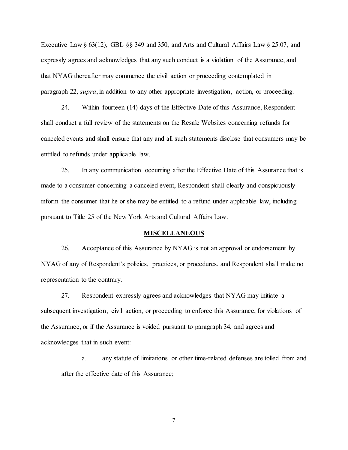Executive Law § 63(12), GBL §§ 349 and 350, and Arts and Cultural Affairs Law § 25.07, and expressly agrees and acknowledges that any such conduct is a violation of the Assurance, and that NYAG thereafter may commence the civil action or proceeding contemplated in paragraph 22, *supra*, in addition to any other appropriate investigation, action, or proceeding.

24. Within fourteen (14) days of the Effective Date of this Assurance, Respondent shall conduct a full review of the statements on the Resale Websites concerning refunds for canceled events and shall ensure that any and all such statements disclose that consumers may be entitled to refunds under applicable law.

25. In any communication occurring after the Effective Date of this Assurance that is made to a consumer concerning a canceled event, Respondent shall clearly and conspicuously inform the consumer that he or she may be entitled to a refund under applicable law, including pursuant to Title 25 of the New York Arts and Cultural Affairs Law.

#### **MISCELLANEOUS**

26. Acceptance of this Assurance by NYAG is not an approval or endorsement by NYAG of any of Respondent's policies, practices, or procedures, and Respondent shall make no representation to the contrary.

27. Respondent expressly agrees and acknowledges that NYAG may initiate a subsequent investigation, civil action, or proceeding to enforce this Assurance, for violations of the Assurance, or if the Assurance is voided pursuant to paragraph 34, and agrees and acknowledges that in such event:

a. any statute of limitations or other time-related defenses are tolled from and after the effective date of this Assurance;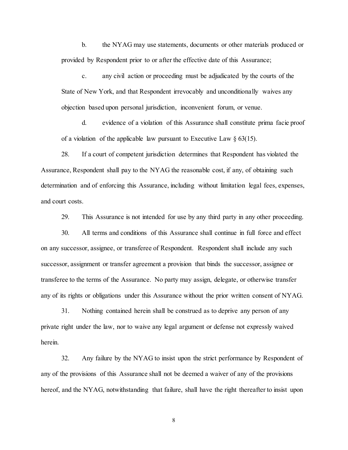b. the NYAG may use statements, documents or other materials produced or provided by Respondent prior to or after the effective date of this Assurance;

c. any civil action or proceeding must be adjudicated by the courts of the State of New York, and that Respondent irrevocably and unconditionally waives any objection based upon personal jurisdiction, inconvenient forum, or venue.

d. evidence of a violation of this Assurance shall constitute prima facie proof of a violation of the applicable law pursuant to Executive Law  $\S$  63(15).

28. If a court of competent jurisdiction determines that Respondent has violated the Assurance, Respondent shall pay to the NYAG the reasonable cost, if any, of obtaining such determination and of enforcing this Assurance, including without limitation legal fees, expenses, and court costs.

29. This Assurance is not intended for use by any third party in any other proceeding.

30. All terms and conditions of this Assurance shall continue in full force and effect on any successor, assignee, or transferee of Respondent. Respondent shall include any such successor, assignment or transfer agreement a provision that binds the successor, assignee or transferee to the terms of the Assurance. No party may assign, delegate, or otherwise transfer any of its rights or obligations under this Assurance without the prior written consent of NYAG.

31. Nothing contained herein shall be construed as to deprive any person of any private right under the law, nor to waive any legal argument or defense not expressly waived herein.

32. Any failure by the NYAG to insist upon the strict performance by Respondent of any of the provisions of this Assurance shall not be deemed a waiver of any of the provisions hereof, and the NYAG, notwithstanding that failure, shall have the right thereafter to insist upon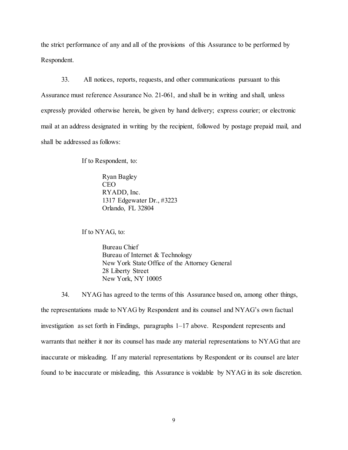the strict performance of any and all of the provisions of this Assurance to be performed by Respondent.

33. All notices, reports, requests, and other communications pursuant to this Assurance must reference Assurance No. 21-061, and shall be in writing and shall, unless expressly provided otherwise herein, be given by hand delivery; express courier; or electronic mail at an address designated in writing by the recipient, followed by postage prepaid mail, and shall be addressed as follows:

If to Respondent, to:

Ryan Bagley CEO RYADD, Inc. 1317 Edgewater Dr., #3223 Orlando, FL 32804

If to NYAG, to:

Bureau Chief Bureau of Internet & Technology New York State Office of the Attorney General 28 Liberty Street New York, NY 10005

34. NYAG has agreed to the terms of this Assurance based on, among other things, the representations made to NYAG by Respondent and its counsel and NYAG's own factual investigation as set forth in Findings, paragraphs 1–17 above. Respondent represents and warrants that neither it nor its counsel has made any material representations to NYAG that are inaccurate or misleading. If any material representations by Respondent or its counsel are later found to be inaccurate or misleading, this Assurance is voidable by NYAG in its sole discretion.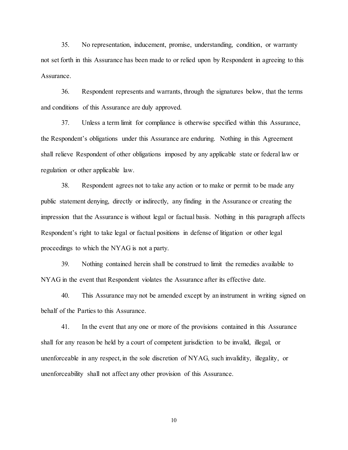35. No representation, inducement, promise, understanding, condition, or warranty not set forth in this Assurance has been made to or relied upon by Respondent in agreeing to this Assurance.

36. Respondent represents and warrants, through the signatures below, that the terms and conditions of this Assurance are duly approved.

37. Unless a term limit for compliance is otherwise specified within this Assurance, the Respondent's obligations under this Assurance are enduring. Nothing in this Agreement shall relieve Respondent of other obligations imposed by any applicable state or federal law or regulation or other applicable law.

38. Respondent agrees not to take any action or to make or permit to be made any public statement denying, directly or indirectly, any finding in the Assurance or creating the impression that the Assurance is without legal or factual basis. Nothing in this paragraph affects Respondent's right to take legal or factual positions in defense of litigation or other legal proceedings to which the NYAG is not a party.

39. Nothing contained herein shall be construed to limit the remedies available to NYAG in the event that Respondent violates the Assurance after its effective date.

40. This Assurance may not be amended except by an instrument in writing signed on behalf of the Parties to this Assurance.

41. In the event that any one or more of the provisions contained in this Assurance shall for any reason be held by a court of competent jurisdiction to be invalid, illegal, or unenforceable in any respect, in the sole discretion of NYAG, such invalidity, illegality, or unenforceability shall not affect any other provision of this Assurance.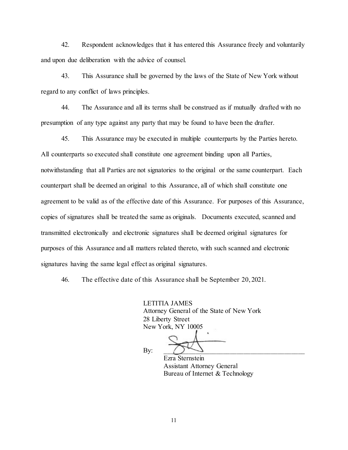42. Respondent acknowledges that it has entered this Assurance freely and voluntarily and upon due deliberation with the advice of counsel.

43. This Assurance shall be governed by the laws of the State of New York without regard to any conflict of laws principles.

44. The Assurance and all its terms shall be construed as if mutually drafted with no presumption of any type against any party that may be found to have been the drafter.

45. This Assurance may be executed in multiple counterparts by the Parties hereto. All counterparts so executed shall constitute one agreement binding upon all Parties, notwithstanding that all Parties are not signatories to the original or the same counterpart. Each counterpart shall be deemed an original to this Assurance, all of which shall constitute one agreement to be valid as of the effective date of this Assurance. For purposes of this Assurance, copies of signatures shall be treated the same as originals. Documents executed, scanned and transmitted electronically and electronic signatures shall be deemed original signatures for purposes of this Assurance and all matters related thereto, with such scanned and electronic signatures having the same legal effect as original signatures.

46. The effective date of this Assurance shall be September 20, 2021.

LETITIA JAMES Attorney General of the State of New York 28 Liberty Street New York, NY 10005

By:  $\bigcirc$   $\longrightarrow$   $\qquad$ 

Ezra Sternstein Assistant Attorney General Bureau of Internet & Technology